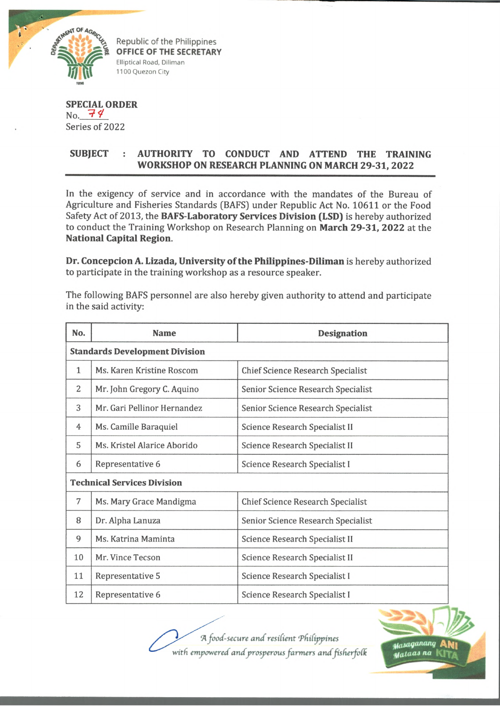

Republic of the Philippines **OFFICE OF THE SECRETARY** Elliptical Road, Diliman 1100 Quezon City

## **SPECIAL ORDER**  $No. 74$ Series of 2022

## **SUBJECT : AUTHORITY TO CONDUCT AND ATTEND THE TRAINING WORKSHOP ON RESEARCH PLANNING ON MARCH 29-31, 2022**

In the exigency of service and in accordance with the mandates of the Bureau of Agriculture and Fisheries Standards (BAFS) under Republic Act No. 10611 or the Food Safety Act of 2013, the **BAFS-Laboratory Services Division (LSD)** is hereby authorized to conduct the Training Workshop on Research Planning on **March 29-31, 2022** at the **National Capital Region.**

**Dr. Concepcion A. Lizada, University of the Philippines-Diliman** is hereby authorized to participate in the training workshop as a resource speaker.

The following BAFS personnel are also hereby given authority to attend and participate in the said activity:

| No.                                   | <b>Name</b>                 | <b>Designation</b>                       |  |
|---------------------------------------|-----------------------------|------------------------------------------|--|
| <b>Standards Development Division</b> |                             |                                          |  |
| $\mathbf{1}$                          | Ms. Karen Kristine Roscom   | <b>Chief Science Research Specialist</b> |  |
| 2                                     | Mr. John Gregory C. Aquino  | Senior Science Research Specialist       |  |
| 3                                     | Mr. Gari Pellinor Hernandez | Senior Science Research Specialist       |  |
| 4                                     | Ms. Camille Baraquiel       | Science Research Specialist II           |  |
| 5                                     | Ms. Kristel Alarice Aborido | Science Research Specialist II           |  |
| 6                                     | Representative 6            | Science Research Specialist I            |  |
| <b>Technical Services Division</b>    |                             |                                          |  |
| 7                                     | Ms. Mary Grace Mandigma     | <b>Chief Science Research Specialist</b> |  |
| 8                                     | Dr. Alpha Lanuza            | Senior Science Research Specialist       |  |
| 9                                     | Ms. Katrina Maminta         | Science Research Specialist II           |  |
| 10                                    | Mr. Vince Tecson            | Science Research Specialist II           |  |
| 11                                    | Representative 5            | Science Research Specialist I            |  |
| 12                                    | Representative 6            | Science Research Specialist I            |  |

*"A food-secure and resifient Tfidippines* with empowered and prosperous farmers and fisherfolk